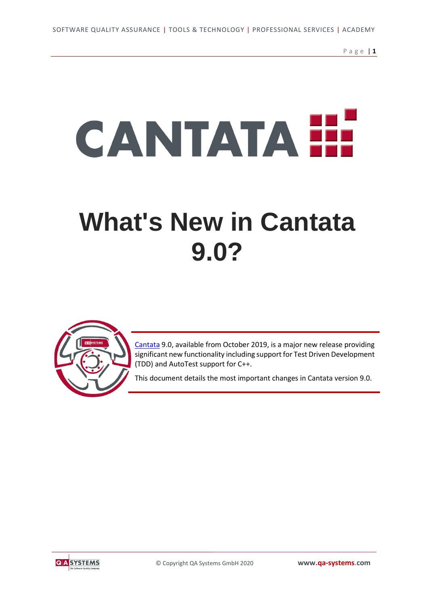P a g e | **1**

# **CANTATAH**

## **[What's New in Cantata](https://www.qa-systems.com/news/detail/qa-systems-announce-major-new-version-of-cantata-unit-test-tool/)  [9.0?](https://www.qa-systems.com/news/detail/qa-systems-announce-major-new-version-of-cantata-unit-test-tool/)**



[Cantata](https://www.qa-systems.com/tools/cantata/) 9.0, available from October 2019, is a major new release providing significant new functionality including support for Test Driven Development (TDD) and AutoTest support for C++.

This document details the most important changes in Cantata version 9.0.

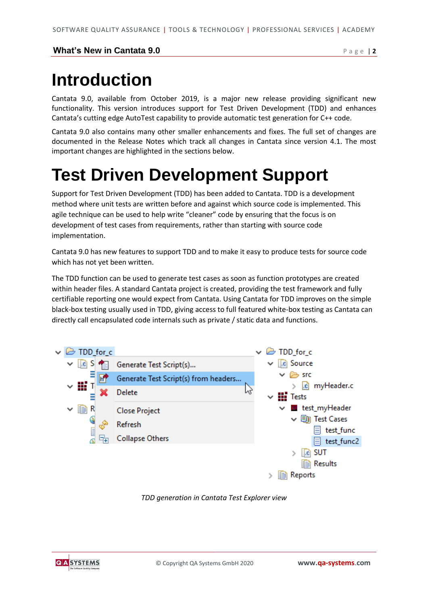#### **What's New in Cantata 9.0** Page | 2

## **Introduction**

Cantata 9.0, available from October 2019, is a major new release providing significant new functionality. This version introduces support for Test Driven Development (TDD) and enhances Cantata's cutting edge AutoTest capability to provide automatic test generation for C++ code.

Cantata 9.0 also contains many other smaller enhancements and fixes. The full set of changes are documented in the Release Notes which track all changes in Cantata since version 4.1. The most important changes are highlighted in the sections below.

## **Test Driven Development Support**

Support for Test Driven Development (TDD) has been added to Cantata. TDD is a development method where unit tests are written before and against which source code is implemented. This agile technique can be used to help write "cleaner" code by ensuring that the focus is on development of test cases from requirements, rather than starting with source code implementation.

Cantata 9.0 has new features to support TDD and to make it easy to produce tests for source code which has not yet been written.

The TDD function can be used to generate test cases as soon as function prototypes are created within header files. A standard Cantata project is created, providing the test framework and fully certifiable reporting one would expect from Cantata. Using Cantata for TDD improves on the simple black-box testing usually used in TDD, giving access to full featured white-box testing as Cantata can directly call encapsulated code internals such as private / static data and functions.



*TDD generation in Cantata Test Explorer view*

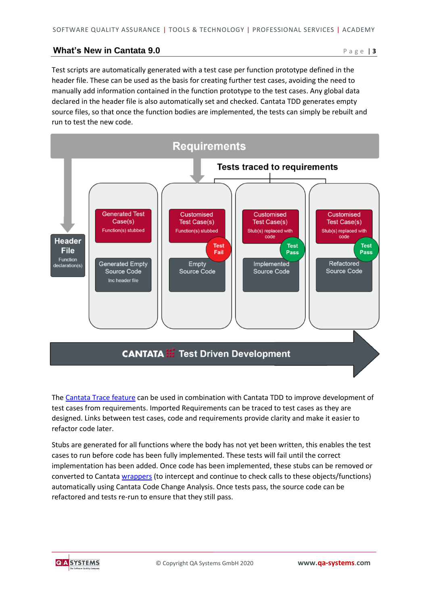#### **What's New in Cantata 9.0** P a g e | 3

Test scripts are automatically generated with a test case per function prototype defined in the header file. These can be used as the basis for creating further test cases, avoiding the need to manually add information contained in the function prototype to the test cases. Any global data declared in the header file is also automatically set and checked. Cantata TDD generates empty source files, so that once the function bodies are implemented, the tests can simply be rebuilt and run to test the new code.



The [Cantata Trace feature](https://www.qa-systems.com/tools/cantata/requirements-traceability/) can be used in combination with Cantata TDD to improve development of test cases from requirements. Imported Requirements can be traced to test cases as they are designed. Links between test cases, code and requirements provide clarity and make it easier to refactor code later.

Stubs are generated for all functions where the body has not yet been written, this enables the test cases to run before code has been fully implemented. These tests will fail until the correct implementation has been added. Once code has been implemented, these stubs can be removed or converted to Cantata [wrappers](https://www.qa-systems.com/tools/cantata/unique-call-control/) (to intercept and continue to check calls to these objects/functions) automatically using Cantata Code Change Analysis. Once tests pass, the source code can be refactored and tests re-run to ensure that they still pass.

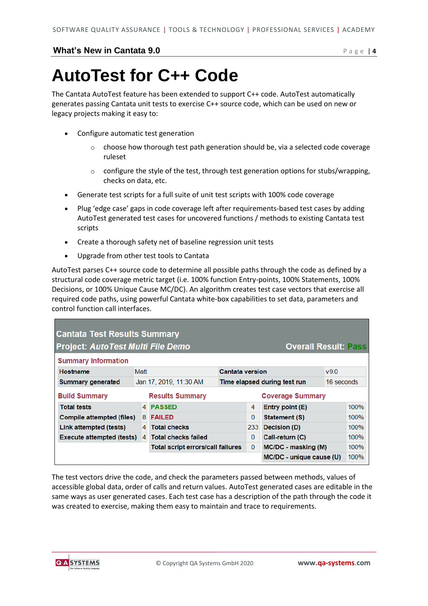#### **What's New in Cantata 9.0 Page | 4**

## **AutoTest for C++ Code**

The Cantata AutoTest feature has been extended to support C++ code. AutoTest automatically generates passing Cantata unit tests to exercise C++ source code, which can be used on new or legacy projects making it easy to:

- [Configure automatic test generation](https://www.qa-systems.com/#c9082)
	- $\circ$  choose how thorough test path generation should be, via a selected code coverage ruleset
	- $\circ$  configure the style of the test, through test generation options for stubs/wrapping, checks on data, etc.
- Generate test scripts for a full suite of unit test scripts with 100% [code coverage](https://www.qa-systems.com/#c9224)
- [Plug 'edge case' gaps in](https://www.qa-systems.com/#c9096) code coverage left after requirements-based test cases by adding AutoTest generated test cases for uncovered functions / methods to existing Cantata test scripts
- [Create a thorough safety net of baseline regression unit tests](https://www.qa-systems.com/#c9102)
- Upgrade from other [test tools to Cantata](https://www.qa-systems.com/#c9105)

AutoTest parses C++ source code to determine all possible paths through the code as defined by a structural code coverage metric target (i.e. 100% function Entry-points, 100% Statements, 100% Decisions, or 100% Unique Cause MC/DC). An algorithm creates test case vectors that exercise all required code paths, using powerful Cantata white-box capabilities to set data, parameters and control function call interfaces.

| <b>Cantata Test Results Summary</b><br><b>Project: AutoTest Multi File Demo</b><br><b>Overall Result: Pass</b> |                                                   |                                          |                                     |          |                          |     |      |  |  |
|----------------------------------------------------------------------------------------------------------------|---------------------------------------------------|------------------------------------------|-------------------------------------|----------|--------------------------|-----|------|--|--|
| <b>Summary Information</b>                                                                                     |                                                   |                                          |                                     |          |                          |     |      |  |  |
| Hostname                                                                                                       | Matt                                              |                                          | <b>Cantata version</b>              |          |                          | v90 |      |  |  |
| <b>Summary generated</b>                                                                                       |                                                   | Jan 17, 2019, 11:30 AM                   | Time elapsed during test run        |          | 16 seconds               |     |      |  |  |
| <b>Build Summary</b>                                                                                           | <b>Coverage Summary</b><br><b>Results Summary</b> |                                          |                                     |          |                          |     |      |  |  |
| <b>Total tests</b>                                                                                             |                                                   | 4 PASSED                                 |                                     | 4        | Entry point (E)          |     | 100% |  |  |
| <b>Compile attempted (files)</b>                                                                               | 8                                                 | <b>FAILED</b>                            |                                     | $\Omega$ | <b>Statement (S)</b>     |     | 100% |  |  |
| Link attempted (tests)                                                                                         | 4                                                 | <b>Total checks</b>                      |                                     | 233      | Decision (D)             |     | 100% |  |  |
| <b>Execute attempted (tests)</b>                                                                               | 4                                                 | <b>Total checks failed</b>               |                                     | $\Omega$ | Call-return (C)          |     | 100% |  |  |
|                                                                                                                |                                                   | <b>Total script errors/call failures</b> | $\mathbf{0}$<br>MC/DC - masking (M) |          | 100%                     |     |      |  |  |
|                                                                                                                |                                                   |                                          |                                     |          | MC/DC - unique cause (U) |     | 100% |  |  |

The test vectors drive the code, and check the parameters passed between methods, values of accessible global data, order of calls and return values. AutoTest generated cases are editable in the same ways as user generated cases. Each test case has a description of the path through the code it was created to exercise, making them easy to maintain and trace to requirements.

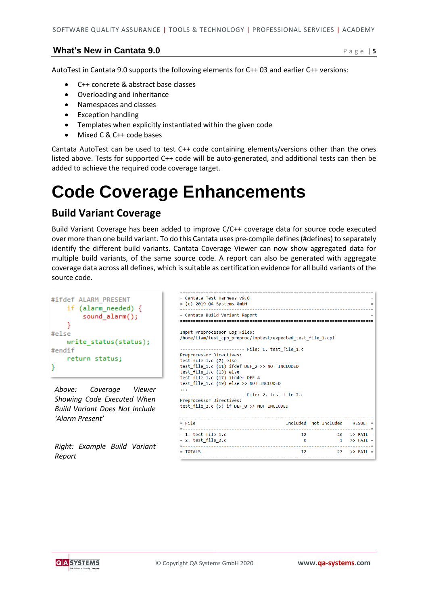#### **What's New in Cantata 9.0** P a g e | 5

AutoTest in Cantata 9.0 supports the following elements for C++ 03 and earlier C++ versions:

- C++ concrete & abstract base classes
- Overloading and inheritance
- Namespaces and classes
- Exception handling
- Templates when explicitly instantiated within the given code
- Mixed C & C++ code bases

Cantata AutoTest can be used to test C++ code containing elements/versions other than the ones listed above. Tests for supported C++ code will be auto-generated, and additional tests can then be added to achieve the required code coverage target.

### **Code Coverage Enhancements**

#### **Build Variant Coverage**

Build Variant Coverage has been added to improve C/C++ coverage data for source code executed over more than one build variant. To do this Cantata uses pre-compile defines (#defines) to separately identify the different build variants. Cantata Coverage Viewer can now show aggregated data for multiple build variants, of the same source code. A report can also be generated with aggregate coverage data across all defines, which is suitable as certification evidence for all build variants of the source code.

```
#ifdef ALARM PRESENT
    if (alarm needed) {
       sound_alarm();
    P
#else
   write_status(status);

   return status;
Y
```
*Above: Coverage Viewer Showing Code Executed When Build Variant Does Not Include 'Alarm Present'*

*Right: Example Build Variant Report*

| = Cantata Test Harness v9.0<br>$= (c)$ 2019 QA Systems GmbH                                   |    |                                | = |  |  |  |  |  |  |  |  |
|-----------------------------------------------------------------------------------------------|----|--------------------------------|---|--|--|--|--|--|--|--|--|
|                                                                                               |    |                                |   |  |  |  |  |  |  |  |  |
| = Cantata Build Variant Report                                                                |    |                                |   |  |  |  |  |  |  |  |  |
| .                                                                                             |    |                                |   |  |  |  |  |  |  |  |  |
| Input Preprocessor Log Files:<br>/home/liam/test_cpp_preproc/tmptest/expected_test_file_1.cpl |    |                                |   |  |  |  |  |  |  |  |  |
|                                                                                               |    |                                |   |  |  |  |  |  |  |  |  |
| Preprocessor Directives:                                                                      |    |                                |   |  |  |  |  |  |  |  |  |
| test file 1.c (7) else                                                                        |    |                                |   |  |  |  |  |  |  |  |  |
| test file 1.c (11) ifdef DEF 2 >> NOT INCLUDED                                                |    |                                |   |  |  |  |  |  |  |  |  |
| test file 1.c (13) else                                                                       |    |                                |   |  |  |  |  |  |  |  |  |
| test file 1.c (17) ifndef DEF 4                                                               |    |                                |   |  |  |  |  |  |  |  |  |
| test file 1.c (19) else >> NOT INCLUDED                                                       |    |                                |   |  |  |  |  |  |  |  |  |
| $\cdots$                                                                                      |    |                                |   |  |  |  |  |  |  |  |  |
| ------------------------ File: 2. test file 2.c                                               |    |                                |   |  |  |  |  |  |  |  |  |
| Preprocessor Directives:                                                                      |    |                                |   |  |  |  |  |  |  |  |  |
| test file 2.c (5) if DEF $\theta$ >> NOT INCLUDED                                             |    |                                |   |  |  |  |  |  |  |  |  |
|                                                                                               |    |                                |   |  |  |  |  |  |  |  |  |
|                                                                                               |    |                                |   |  |  |  |  |  |  |  |  |
| $=$ File                                                                                      |    | Included Not Included RESULT = |   |  |  |  |  |  |  |  |  |
| $= 1.$ test file 1.0                                                                          |    | 12 $26 \rightarrow$ FAIL =     |   |  |  |  |  |  |  |  |  |
| $= 2. test file 2.c$                                                                          | Ø  | $1 \rightarrow$ FAIL =         |   |  |  |  |  |  |  |  |  |
|                                                                                               |    |                                |   |  |  |  |  |  |  |  |  |
| $=$ TOTALS                                                                                    | 12 | $27 \rightarrow$ FATI =        |   |  |  |  |  |  |  |  |  |